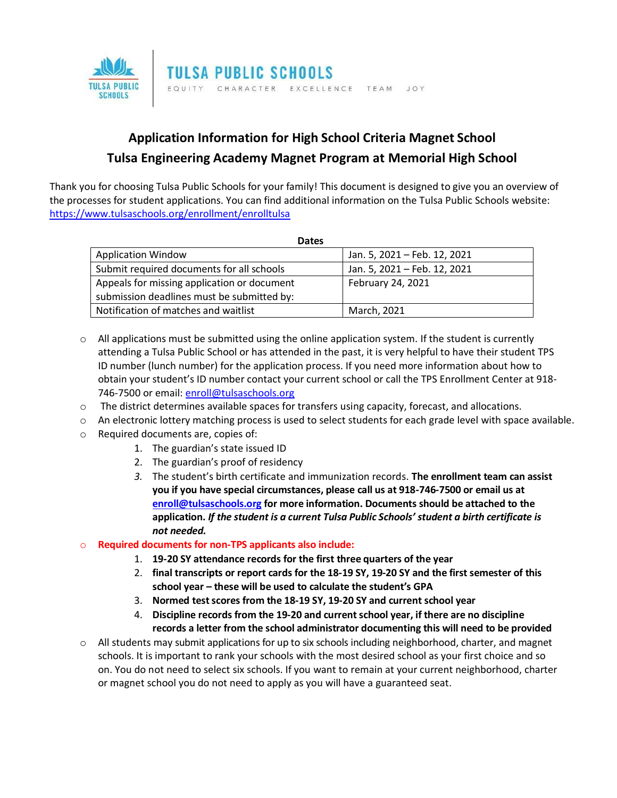

## **Application Information for High School Criteria Magnet School Tulsa Engineering Academy Magnet Program at Memorial High School**

Thank you for choosing Tulsa Public Schools for your family! This document is designed to give you an overview of the processes for student applications. You can find additional information on the Tulsa Public Schools website: <https://www.tulsaschools.org/enrollment/enrolltulsa>

| <b>Dates</b>                                |                              |
|---------------------------------------------|------------------------------|
| <b>Application Window</b>                   | Jan. 5, 2021 - Feb. 12, 2021 |
| Submit required documents for all schools   | Jan. 5, 2021 - Feb. 12, 2021 |
| Appeals for missing application or document | February 24, 2021            |
| submission deadlines must be submitted by:  |                              |
| Notification of matches and waitlist        | March, 2021                  |

- $\circ$  All applications must be submitted using the online application system. If the student is currently attending a Tulsa Public School or has attended in the past, it is very helpful to have their student TPS ID number (lunch number) for the application process. If you need more information about how to obtain your student's ID number contact your current school or call the TPS Enrollment Center at 918 746-7500 or email: [enroll@tulsaschools.org](mailto:enroll@tulsaschools.org)
- $\circ$  The district determines available spaces for transfers using capacity, forecast, and allocations.
- $\circ$  An electronic lottery matching process is used to select students for each grade level with space available.
- o Required documents are, copies of:
	- 1. The guardian's state issued ID
	- 2. The guardian's proof of residency
	- *3.* The student's birth certificate and immunization records. **The enrollment team can assist you if you have special circumstances, please call us at 918-746-7500 or email us at [enroll@tulsaschools.org](mailto:enroll@tulsaschools.org) for more information. Documents should be attached to the application.** *If the student is a current Tulsa Public Schools' student a birth certificate is not needed.*

## o **Required documents for non-TPS applicants also include:**

- 1. **19-20 SY attendance records for the first three quarters of the year**
- 2. **final transcripts or report cards for the 18-19 SY, 19-20 SY and the first semester of this school year – these will be used to calculate the student's GPA**
- 3. **Normed test scores from the 18-19 SY, 19-20 SY and current school year**
- 4. **Discipline records from the 19-20 and current school year, if there are no discipline records a letter from the school administrator documenting this will need to be provided**
- o All students may submit applications for up to six schools including neighborhood, charter, and magnet schools. It is important to rank your schools with the most desired school as your first choice and so on. You do not need to select six schools. If you want to remain at your current neighborhood, charter or magnet school you do not need to apply as you will have a guaranteed seat.